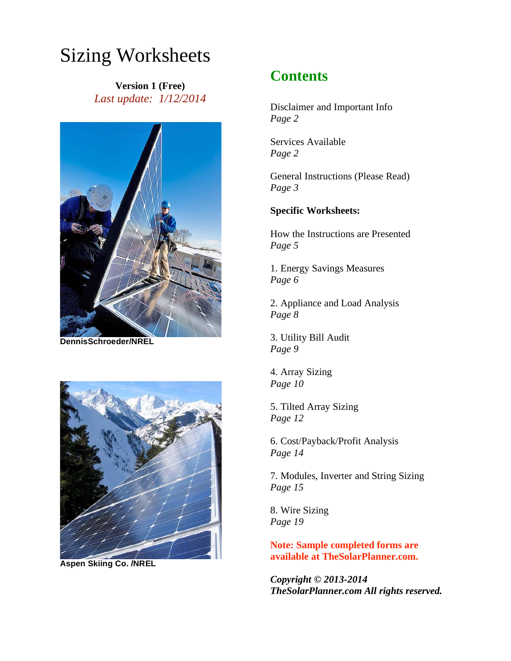# Sizing Worksheets

**Version 1 (Free)** *Last update: 1/12/2014*



**DennisSchroeder/NREL** 



**Aspen Skiing Co. /NREL**

# **Contents**

Disclaimer and Important Info *Page 2* 

Services Available *Page 2* 

General Instructions (Please Read) *Page 3* 

# **Specific Worksheets:**

How the Instructions are Presented *Page 5* 

1. Energy Savings Measures *Page 6* 

2. Appliance and Load Analysis *Page 8* 

3. Utility Bill Audit *Page 9* 

4. Array Sizing *Page 10* 

5. Tilted Array Sizing *Page 12* 

6. Cost/Payback/Profit Analysis *Page 14* 

7. Modules, Inverter and String Sizing *Page 15* 

8. Wire Sizing *Page 19* 

**Note: Sample completed forms are available at TheSolarPlanner.com.** 

*Copyright © 2013-2014 TheSolarPlanner.com All rights reserved.*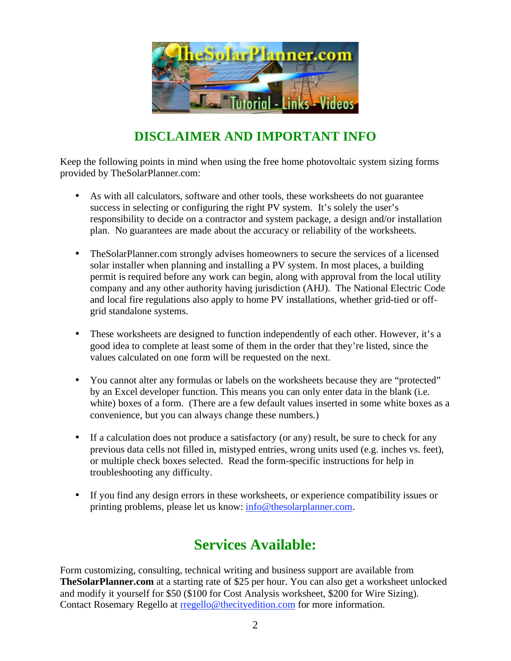

# **DISCLAIMER AND IMPORTANT INFO**

Keep the following points in mind when using the free home photovoltaic system sizing forms provided by TheSolarPlanner.com:

- As with all calculators, software and other tools, these worksheets do not guarantee success in selecting or configuring the right PV system. It's solely the user's responsibility to decide on a contractor and system package, a design and/or installation plan. No guarantees are made about the accuracy or reliability of the worksheets.
- TheSolarPlanner.com strongly advises homeowners to secure the services of a licensed solar installer when planning and installing a PV system. In most places, a building permit is required before any work can begin, along with approval from the local utility company and any other authority having jurisdiction (AHJ). The National Electric Code and local fire regulations also apply to home PV installations, whether grid-tied or offgrid standalone systems.
- These worksheets are designed to function independently of each other. However, it's a good idea to complete at least some of them in the order that they're listed, since the values calculated on one form will be requested on the next.
- You cannot alter any formulas or labels on the worksheets because they are "protected" by an Excel developer function. This means you can only enter data in the blank (i.e. white) boxes of a form. (There are a few default values inserted in some white boxes as a convenience, but you can always change these numbers.)
- If a calculation does not produce a satisfactory (or any) result, be sure to check for any previous data cells not filled in, mistyped entries, wrong units used (e.g. inches vs. feet), or multiple check boxes selected. Read the form-specific instructions for help in troubleshooting any difficulty.
- If you find any design errors in these worksheets, or experience compatibility issues or printing problems, please let us know: info@thesolarplanner.com.

# **Services Available:**

Form customizing, consulting, technical writing and business support are available from **TheSolarPlanner.com** at a starting rate of \$25 per hour. You can also get a worksheet unlocked and modify it yourself for \$50 (\$100 for Cost Analysis worksheet, \$200 for Wire Sizing). Contact Rosemary Regello at rregello@thecityedition.com for more information.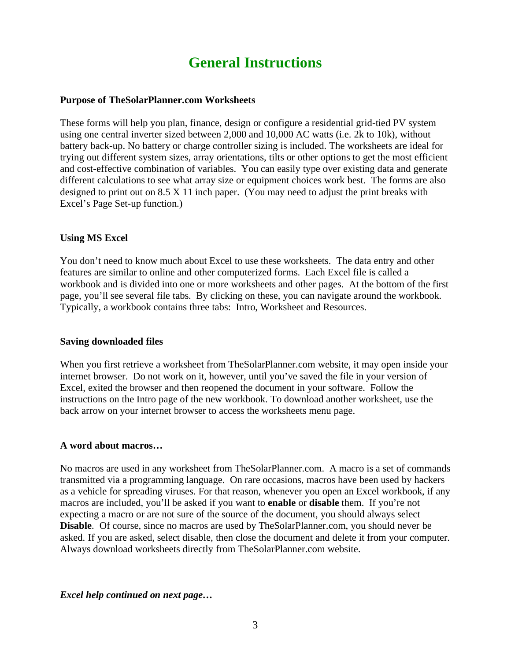# **General Instructions**

#### **Purpose of TheSolarPlanner.com Worksheets**

These forms will help you plan, finance, design or configure a residential grid-tied PV system using one central inverter sized between 2,000 and 10,000 AC watts (i.e. 2k to 10k), without battery back-up. No battery or charge controller sizing is included. The worksheets are ideal for trying out different system sizes, array orientations, tilts or other options to get the most efficient and cost-effective combination of variables. You can easily type over existing data and generate different calculations to see what array size or equipment choices work best. The forms are also designed to print out on 8.5 X 11 inch paper. (You may need to adjust the print breaks with Excel's Page Set-up function.)

# **Using MS Excel**

You don't need to know much about Excel to use these worksheets. The data entry and other features are similar to online and other computerized forms. Each Excel file is called a workbook and is divided into one or more worksheets and other pages. At the bottom of the first page, you'll see several file tabs. By clicking on these, you can navigate around the workbook. Typically, a workbook contains three tabs: Intro, Worksheet and Resources.

#### **Saving downloaded files**

When you first retrieve a worksheet from TheSolarPlanner.com website, it may open inside your internet browser. Do not work on it, however, until you've saved the file in your version of Excel, exited the browser and then reopened the document in your software. Follow the instructions on the Intro page of the new workbook. To download another worksheet, use the back arrow on your internet browser to access the worksheets menu page.

#### **A word about macros…**

No macros are used in any worksheet from TheSolarPlanner.com. A macro is a set of commands transmitted via a programming language. On rare occasions, macros have been used by hackers as a vehicle for spreading viruses. For that reason, whenever you open an Excel workbook, if any macros are included, you'll be asked if you want to **enable** or **disable** them. If you're not expecting a macro or are not sure of the source of the document, you should always select **Disable**. Of course, since no macros are used by TheSolarPlanner.com, you should never be asked. If you are asked, select disable, then close the document and delete it from your computer. Always download worksheets directly from TheSolarPlanner.com website.

*Excel help continued on next page…*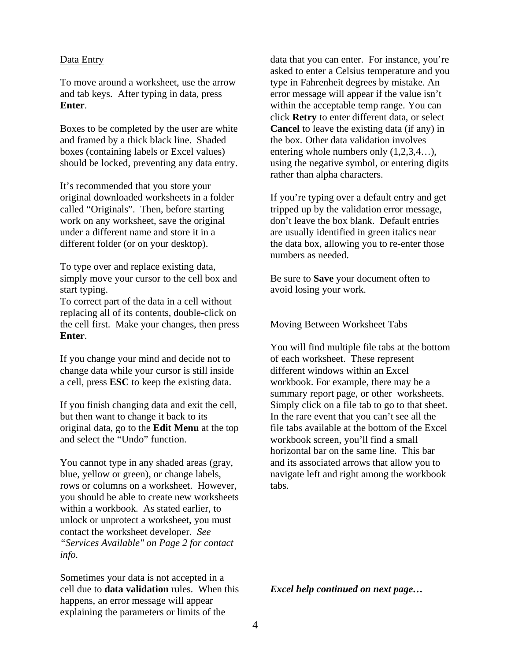#### Data Entry

To move around a worksheet, use the arrow and tab keys. After typing in data, press **Enter**.

Boxes to be completed by the user are white and framed by a thick black line. Shaded boxes (containing labels or Excel values) should be locked, preventing any data entry.

It's recommended that you store your original downloaded worksheets in a folder called "Originals". Then, before starting work on any worksheet, save the original under a different name and store it in a different folder (or on your desktop).

To type over and replace existing data, simply move your cursor to the cell box and start typing.

To correct part of the data in a cell without replacing all of its contents, double-click on the cell first. Make your changes, then press **Enter**.

If you change your mind and decide not to change data while your cursor is still inside a cell, press **ESC** to keep the existing data.

If you finish changing data and exit the cell, but then want to change it back to its original data, go to the **Edit Menu** at the top and select the "Undo" function.

You cannot type in any shaded areas (gray, blue, yellow or green), or change labels, rows or columns on a worksheet. However, you should be able to create new worksheets within a workbook. As stated earlier, to unlock or unprotect a worksheet, you must contact the worksheet developer. *See "Services Available" on Page 2 for contact info.*

Sometimes your data is not accepted in a cell due to **data validation** rules. When this happens, an error message will appear explaining the parameters or limits of the

data that you can enter. For instance, you're asked to enter a Celsius temperature and you type in Fahrenheit degrees by mistake. An error message will appear if the value isn't within the acceptable temp range. You can click **Retry** to enter different data, or select **Cancel** to leave the existing data (if any) in the box*.* Other data validation involves entering whole numbers only  $(1,2,3,4...)$ , using the negative symbol, or entering digits rather than alpha characters.

If you're typing over a default entry and get tripped up by the validation error message, don't leave the box blank. Default entries are usually identified in green italics near the data box, allowing you to re-enter those numbers as needed.

Be sure to **Save** your document often to avoid losing your work.

#### Moving Between Worksheet Tabs

You will find multiple file tabs at the bottom of each worksheet. These represent different windows within an Excel workbook. For example, there may be a summary report page, or other worksheets. Simply click on a file tab to go to that sheet. In the rare event that you can't see all the file tabs available at the bottom of the Excel workbook screen, you'll find a small horizontal bar on the same line. This bar and its associated arrows that allow you to navigate left and right among the workbook tabs.

*Excel help continued on next page…*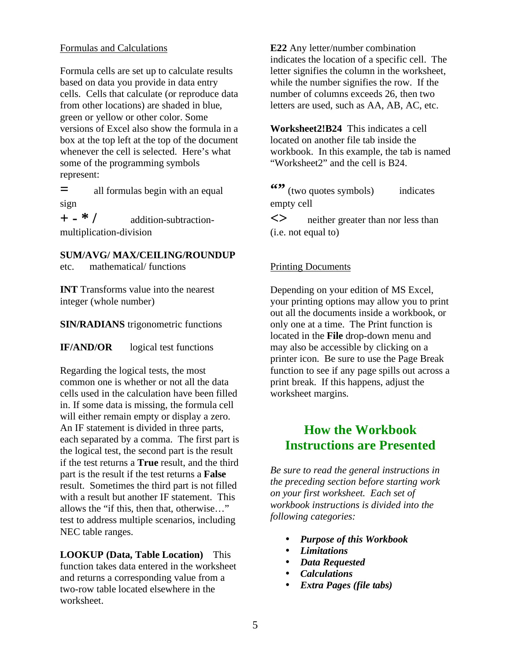# Formulas and Calculations

Formula cells are set up to calculate results based on data you provide in data entry cells. Cells that calculate (or reproduce data from other locations) are shaded in blue, green or yellow or other color. Some versions of Excel also show the formula in a box at the top left at the top of the document whenever the cell is selected. Here's what some of the programming symbols represent:

**=** all formulas begin with an equal sign

**+ - \* /** addition-subtractionmultiplication-division

# **SUM/AVG/ MAX/CEILING/ROUNDUP**

etc. mathematical/ functions

**INT** Transforms value into the nearest integer (whole number)

# **SIN/RADIANS** trigonometric functions

**IF/AND/OR** logical test functions

Regarding the logical tests, the most common one is whether or not all the data cells used in the calculation have been filled in. If some data is missing, the formula cell will either remain empty or display a zero. An IF statement is divided in three parts, each separated by a comma. The first part is the logical test, the second part is the result if the test returns a **True** result, and the third part is the result if the test returns a **False** result. Sometimes the third part is not filled with a result but another IF statement. This allows the "if this, then that, otherwise…" test to address multiple scenarios, including NEC table ranges.

**LOOKUP (Data, Table Location)** This function takes data entered in the worksheet and returns a corresponding value from a two-row table located elsewhere in the worksheet.

**E22** Any letter/number combination indicates the location of a specific cell. The letter signifies the column in the worksheet, while the number signifies the row. If the number of columns exceeds 26, then two letters are used, such as AA, AB, AC, etc.

**Worksheet2!B24** This indicates a cell located on another file tab inside the workbook. In this example, the tab is named "Worksheet2" and the cell is B24.

<sup>"</sup> (two quotes symbols) indicates empty cell

**<>** neither greater than nor less than (i.e. not equal to)

# Printing Documents

Depending on your edition of MS Excel, your printing options may allow you to print out all the documents inside a workbook, or only one at a time. The Print function is located in the **File** drop-down menu and may also be accessible by clicking on a printer icon. Be sure to use the Page Break function to see if any page spills out across a print break. If this happens, adjust the worksheet margins.

# **How the Workbook Instructions are Presented**

*Be sure to read the general instructions in the preceding section before starting work on your first worksheet. Each set of workbook instructions is divided into the following categories:* 

- *Purpose of this Workbook*
- *Limitations*
- *Data Requested*
- *Calculations*
- *Extra Pages (file tabs)*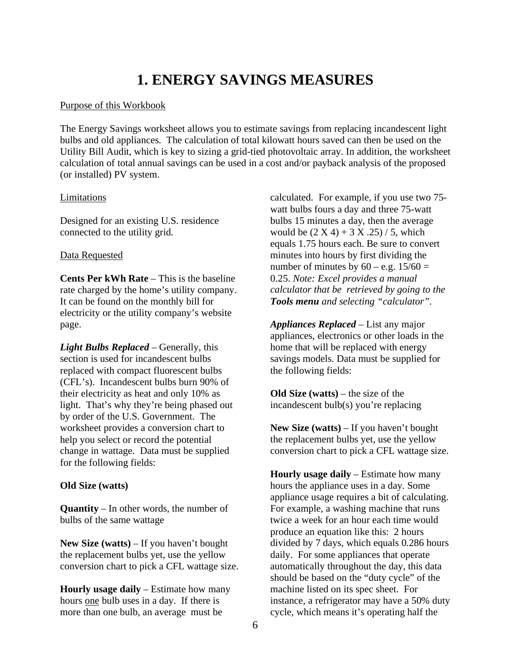# **1. ENERGY SAVINGS MEASURES**

#### Purpose of this Workbook

The Energy Savings worksheet allows you to estimate savings from replacing incandescent light bulbs and old appliances. The calculation of total kilowatt hours saved can then be used on the Utility Bill Audit, which is key to sizing a grid-tied photovoltaic array. In addition, the worksheet calculation of total annual savings can be used in a cost and/or payback analysis of the proposed (or installed) PV system.

#### Limitations

Designed for an existing U.S. residence connected to the utility grid.

#### Data Requested

**Cents Per kWh Rate** – This is the baseline rate charged by the home's utility company. It can be found on the monthly bill for electricity or the utility company's website page.

*Light Bulbs Replaced* – Generally, this section is used for incandescent bulbs replaced with compact fluorescent bulbs (CFL's). Incandescent bulbs burn 90% of their electricity as heat and only 10% as light. That's why they're being phased out by order of the U.S. Government. The worksheet provides a conversion chart to help you select or record the potential change in wattage. Data must be supplied for the following fields:

#### **Old Size (watts)**

**Quantity** – In other words, the number of bulbs of the same wattage

**New Size (watts)** – If you haven't bought the replacement bulbs yet, use the yellow conversion chart to pick a CFL wattage size.

**Hourly usage daily** – Estimate how many hours one bulb uses in a day. If there is more than one bulb, an average must be

calculated. For example, if you use two 75 watt bulbs fours a day and three 75-watt bulbs 15 minutes a day, then the average would be  $(2 X 4) + 3 X .25$  / 5, which equals 1.75 hours each. Be sure to convert minutes into hours by first dividing the number of minutes by  $60 - e.g. 15/60 =$ 0.25. *Note: Excel provides a manual calculator that be retrieved by going to the Tools menu and selecting "calculator".*

*Appliances Replaced* – List any major appliances, electronics or other loads in the home that will be replaced with energy savings models. Data must be supplied for the following fields:

**Old Size (watts)** – the size of the incandescent bulb(s) you're replacing

**New Size (watts)** – If you haven't bought the replacement bulbs yet, use the yellow conversion chart to pick a CFL wattage size.

**Hourly usage daily** – Estimate how many hours the appliance uses in a day. Some appliance usage requires a bit of calculating. For example, a washing machine that runs twice a week for an hour each time would produce an equation like this: 2 hours divided by 7 days, which equals 0.286 hours daily. For some appliances that operate automatically throughout the day, this data should be based on the "duty cycle" of the machine listed on its spec sheet. For instance, a refrigerator may have a 50% duty cycle, which means it's operating half the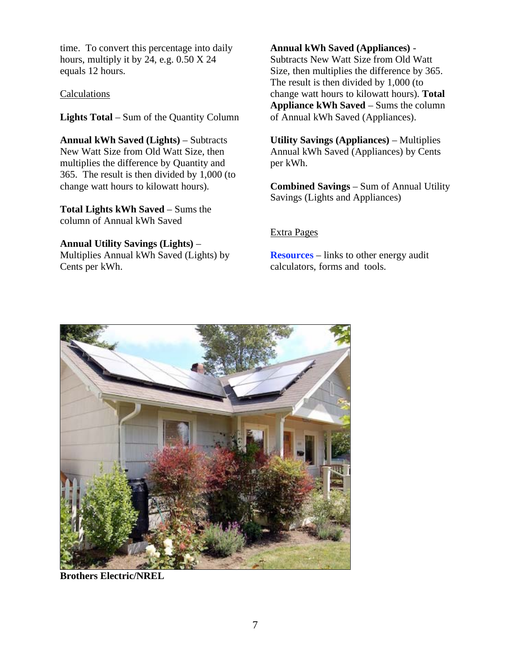time. To convert this percentage into daily hours, multiply it by 24, e.g. 0.50 X 24 equals 12 hours.

# Calculations

**Lights Total** – Sum of the Quantity Column

**Annual kWh Saved (Lights)** – Subtracts New Watt Size from Old Watt Size, then multiplies the difference by Quantity and 365. The result is then divided by 1,000 (to change watt hours to kilowatt hours).

**Total Lights kWh Saved** – Sums the column of Annual kWh Saved

# **Annual Utility Savings (Lights)** –

Multiplies Annual kWh Saved (Lights) by Cents per kWh.

# **Annual kWh Saved (Appliances)** -

Subtracts New Watt Size from Old Watt Size, then multiplies the difference by 365. The result is then divided by 1,000 (to change watt hours to kilowatt hours). **Total Appliance kWh Saved** – Sums the column of Annual kWh Saved (Appliances).

**Utility Savings (Appliances)** – Multiplies Annual kWh Saved (Appliances) by Cents per kWh.

**Combined Savings** – Sum of Annual Utility Savings (Lights and Appliances)

# Extra Pages

**Resources** – links to other energy audit calculators, forms and tools.



**Brothers Electric/NREL**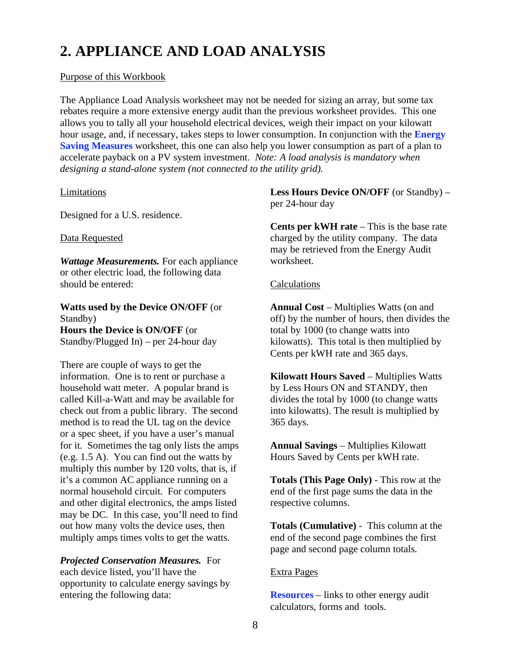# **2. APPLIANCE AND LOAD ANALYSIS**

# Purpose of this Workbook

The Appliance Load Analysis worksheet may not be needed for sizing an array, but some tax rebates require a more extensive energy audit than the previous worksheet provides. This one allows you to tally all your household electrical devices, weigh their impact on your kilowatt hour usage, and, if necessary, takes steps to lower consumption. In conjunction with the **Energy Saving Measures** worksheet, this one can also help you lower consumption as part of a plan to accelerate payback on a PV system investment. *Note: A load analysis is mandatory when designing a stand-alone system (not connected to the utility grid).*

# Limitations

Designed for a U.S. residence.

# Data Requested

*Wattage Measurements.* For each appliance or other electric load, the following data should be entered:

# **Watts used by the Device ON/OFF** (or Standby)

**Hours the Device is ON/OFF** (or Standby/Plugged In) – per 24-hour day

There are couple of ways to get the information. One is to rent or purchase a household watt meter. A popular brand is called Kill-a-Watt and may be available for check out from a public library. The second method is to read the UL tag on the device or a spec sheet, if you have a user's manual for it. Sometimes the tag only lists the amps (e.g. 1.5 A). You can find out the watts by multiply this number by 120 volts, that is, if it's a common AC appliance running on a normal household circuit. For computers and other digital electronics, the amps listed may be DC. In this case, you'll need to find out how many volts the device uses, then multiply amps times volts to get the watts.

# *Projected Conservation Measures.* For each device listed, you'll have the opportunity to calculate energy savings by entering the following data:

**Less Hours Device ON/OFF** (or Standby) – per 24-hour day

**Cents per kWH rate** – This is the base rate charged by the utility company. The data may be retrieved from the Energy Audit worksheet.

# **Calculations**

**Annual Cost** – Multiplies Watts (on and off) by the number of hours, then divides the total by 1000 (to change watts into kilowatts). This total is then multiplied by Cents per kWH rate and 365 days.

**Kilowatt Hours Saved** – Multiplies Watts by Less Hours ON and STANDY, then divides the total by 1000 (to change watts into kilowatts). The result is multiplied by 365 days.

**Annual Savings** – Multiplies Kilowatt Hours Saved by Cents per kWH rate.

**Totals (This Page Only)** - This row at the end of the first page sums the data in the respective columns.

**Totals (Cumulative)** - This column at the end of the second page combines the first page and second page column totals.

# Extra Pages

**Resources** – links to other energy audit calculators, forms and tools.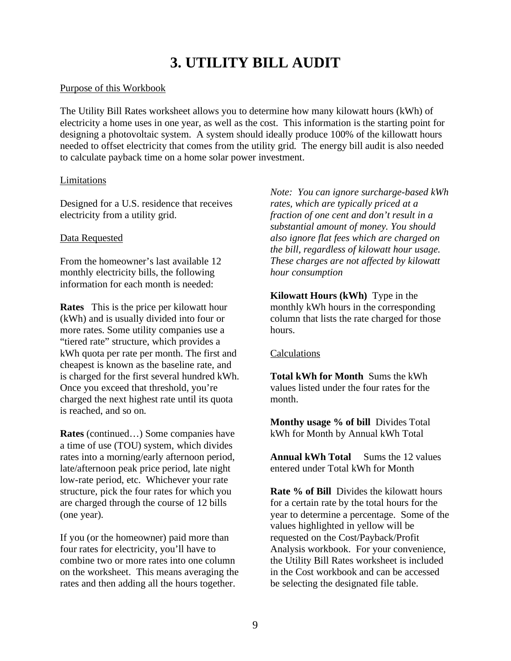# **3. UTILITY BILL AUDIT**

# Purpose of this Workbook

The Utility Bill Rates worksheet allows you to determine how many kilowatt hours (kWh) of electricity a home uses in one year, as well as the cost. This information is the starting point for designing a photovoltaic system. A system should ideally produce 100% of the killowatt hours needed to offset electricity that comes from the utility grid. The energy bill audit is also needed to calculate payback time on a home solar power investment.

# Limitations

Designed for a U.S. residence that receives electricity from a utility grid.

# Data Requested

From the homeowner's last available 12 monthly electricity bills, the following information for each month is needed:

**Rates** This is the price per kilowatt hour (kWh) and is usually divided into four or more rates. Some utility companies use a "tiered rate" structure, which provides a kWh quota per rate per month. The first and cheapest is known as the baseline rate, and is charged for the first several hundred kWh. Once you exceed that threshold, you're charged the next highest rate until its quota is reached, and so on.

**Rates** (continued…) Some companies have a time of use (TOU) system, which divides rates into a morning/early afternoon period, late/afternoon peak price period, late night low-rate period, etc. Whichever your rate structure, pick the four rates for which you are charged through the course of 12 bills (one year).

If you (or the homeowner) paid more than four rates for electricity, you'll have to combine two or more rates into one column on the worksheet. This means averaging the rates and then adding all the hours together.

*Note: You can ignore surcharge-based kWh rates, which are typically priced at a fraction of one cent and don't result in a substantial amount of money. You should also ignore flat fees which are charged on the bill, regardless of kilowatt hour usage. These charges are not affected by kilowatt hour consumption* 

**Kilowatt Hours (kWh)** Type in the monthly kWh hours in the corresponding column that lists the rate charged for those hours.

# **Calculations**

**Total kWh for Month** Sums the kWh values listed under the four rates for the month.

**Monthy usage % of bill** Divides Total kWh for Month by Annual kWh Total

**Annual kWh Total** Sums the 12 values entered under Total kWh for Month

**Rate % of Bill** Divides the kilowatt hours for a certain rate by the total hours for the year to determine a percentage. Some of the values highlighted in yellow will be requested on the Cost/Payback/Profit Analysis workbook. For your convenience, the Utility Bill Rates worksheet is included in the Cost workbook and can be accessed be selecting the designated file table.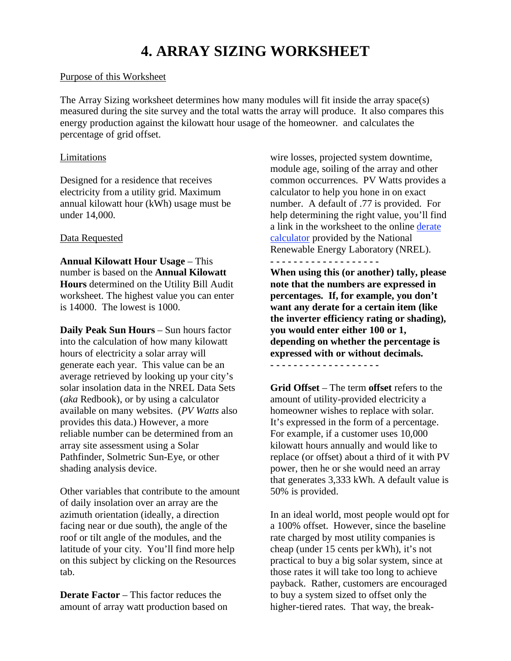# **4. ARRAY SIZING WORKSHEET**

#### Purpose of this Worksheet

The Array Sizing worksheet determines how many modules will fit inside the array space(s) measured during the site survey and the total watts the array will produce. It also compares this energy production against the kilowatt hour usage of the homeowner. and calculates the percentage of grid offset.

#### Limitations

Designed for a residence that receives electricity from a utility grid. Maximum annual kilowatt hour (kWh) usage must be under 14,000.

# Data Requested

**Annual Kilowatt Hour Usage** – This number is based on the **Annual Kilowatt Hours** determined on the Utility Bill Audit worksheet. The highest value you can enter is 14000. The lowest is 1000.

**Daily Peak Sun Hours** – Sun hours factor into the calculation of how many kilowatt hours of electricity a solar array will generate each year. This value can be an average retrieved by looking up your city's solar insolation data in the NREL Data Sets (*aka* Redbook), or by using a calculator available on many websites. (*PV Watts* also provides this data.) However, a more reliable number can be determined from an array site assessment using a Solar Pathfinder, Solmetric Sun-Eye, or other shading analysis device.

Other variables that contribute to the amount of daily insolation over an array are the azimuth orientation (ideally, a direction facing near or due south), the angle of the roof or tilt angle of the modules, and the latitude of your city. You'll find more help on this subject by clicking on the Resources tab.

**Derate Factor** – This factor reduces the amount of array watt production based on wire losses, projected system downtime, module age, soiling of the array and other common occurrences. PV Watts provides a calculator to help you hone in on exact number. A default of .77 is provided. For help determining the right value, you'll find a link in the worksheet to the online derate calculator provided by the National Renewable Energy Laboratory (NREL).

**- - - - - - - - - - - - - - - - - - -** 

**When using this (or another) tally, please note that the numbers are expressed in percentages. If, for example, you don't want any derate for a certain item (like the inverter efficiency rating or shading), you would enter either 100 or 1, depending on whether the percentage is expressed with or without decimals. - - - - - - - - - - - - - - - - - - -** 

**Grid Offset** – The term **offset** refers to the amount of utility-provided electricity a homeowner wishes to replace with solar. It's expressed in the form of a percentage. For example, if a customer uses 10,000 kilowatt hours annually and would like to replace (or offset) about a third of it with PV power, then he or she would need an array that generates 3,333 kWh. A default value is 50% is provided.

In an ideal world, most people would opt for a 100% offset. However, since the baseline rate charged by most utility companies is cheap (under 15 cents per kWh), it's not practical to buy a big solar system, since at those rates it will take too long to achieve payback. Rather, customers are encouraged to buy a system sized to offset only the higher-tiered rates. That way, the break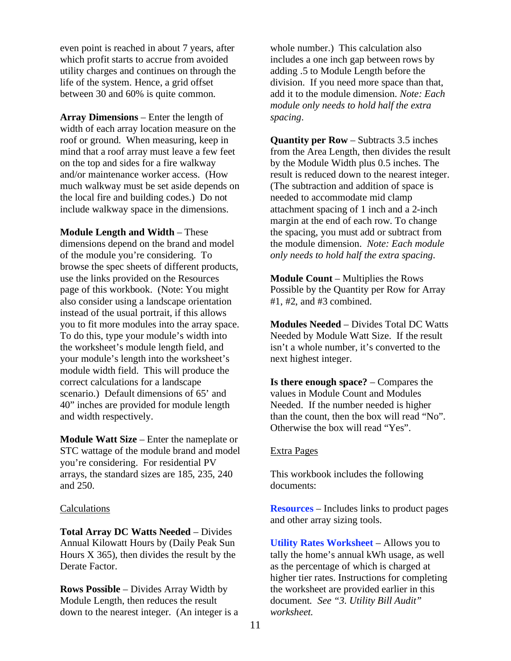even point is reached in about 7 years, after which profit starts to accrue from avoided utility charges and continues on through the life of the system. Hence, a grid offset between 30 and 60% is quite common.

**Array Dimensions** – Enter the length of width of each array location measure on the roof or ground. When measuring, keep in mind that a roof array must leave a few feet on the top and sides for a fire walkway and/or maintenance worker access. (How much walkway must be set aside depends on the local fire and building codes.) Do not include walkway space in the dimensions.

**Module Length and Width** – These dimensions depend on the brand and model of the module you're considering. To browse the spec sheets of different products, use the links provided on the Resources page of this workbook. (Note: You might also consider using a landscape orientation instead of the usual portrait, if this allows you to fit more modules into the array space. To do this, type your module's width into the worksheet's module length field, and your module's length into the worksheet's module width field. This will produce the correct calculations for a landscape scenario.) Default dimensions of 65' and 40" inches are provided for module length and width respectively.

**Module Watt Size** – Enter the nameplate or STC wattage of the module brand and model you're considering. For residential PV arrays, the standard sizes are 185, 235, 240 and 250.

#### Calculations

**Total Array DC Watts Needed** – Divides Annual Kilowatt Hours by (Daily Peak Sun Hours  $X$  365), then divides the result by the Derate Factor.

**Rows Possible** – Divides Array Width by Module Length, then reduces the result down to the nearest integer. (An integer is a whole number.) This calculation also includes a one inch gap between rows by adding .5 to Module Length before the division. If you need more space than that, add it to the module dimension. *Note: Each module only needs to hold half the extra spacing*.

**Quantity per Row** – Subtracts 3.5 inches from the Area Length, then divides the result by the Module Width plus 0.5 inches. The result is reduced down to the nearest integer. (The subtraction and addition of space is needed to accommodate mid clamp attachment spacing of 1 inch and a 2-inch margin at the end of each row. To change the spacing, you must add or subtract from the module dimension. *Note: Each module only needs to hold half the extra spacing*.

**Module Count** – Multiplies the Rows Possible by the Quantity per Row for Array #1, #2, and #3 combined.

**Modules Needed** – Divides Total DC Watts Needed by Module Watt Size. If the result isn't a whole number, it's converted to the next highest integer.

**Is there enough space?** – Compares the values in Module Count and Modules Needed. If the number needed is higher than the count, then the box will read "No". Otherwise the box will read "Yes".

#### Extra Pages

This workbook includes the following documents:

**Resources** – Includes links to product pages and other array sizing tools.

**Utility Rates Worksheet** – Allows you to tally the home's annual kWh usage, as well as the percentage of which is charged at higher tier rates. Instructions for completing the worksheet are provided earlier in this document*. See "3. Utility Bill Audit" worksheet.*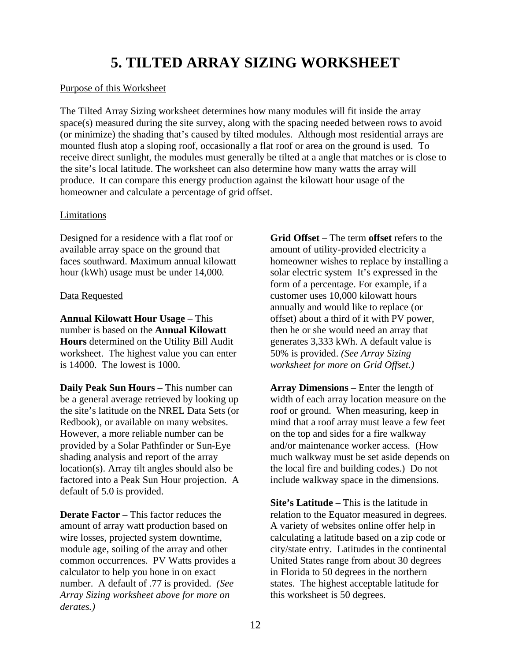# **5. TILTED ARRAY SIZING WORKSHEET**

# Purpose of this Worksheet

The Tilted Array Sizing worksheet determines how many modules will fit inside the array space(s) measured during the site survey, along with the spacing needed between rows to avoid (or minimize) the shading that's caused by tilted modules. Although most residential arrays are mounted flush atop a sloping roof, occasionally a flat roof or area on the ground is used. To receive direct sunlight, the modules must generally be tilted at a angle that matches or is close to the site's local latitude. The worksheet can also determine how many watts the array will produce. It can compare this energy production against the kilowatt hour usage of the homeowner and calculate a percentage of grid offset.

# Limitations

Designed for a residence with a flat roof or available array space on the ground that faces southward. Maximum annual kilowatt hour (kWh) usage must be under 14,000.

# Data Requested

**Annual Kilowatt Hour Usage** – This number is based on the **Annual Kilowatt Hours** determined on the Utility Bill Audit worksheet. The highest value you can enter is 14000. The lowest is 1000.

**Daily Peak Sun Hours** – This number can be a general average retrieved by looking up the site's latitude on the NREL Data Sets (or Redbook), or available on many websites. However, a more reliable number can be provided by a Solar Pathfinder or Sun-Eye shading analysis and report of the array location(s). Array tilt angles should also be factored into a Peak Sun Hour projection. A default of 5.0 is provided.

**Derate Factor** – This factor reduces the amount of array watt production based on wire losses, projected system downtime, module age, soiling of the array and other common occurrences. PV Watts provides a calculator to help you hone in on exact number. A default of .77 is provided. *(See Array Sizing worksheet above for more on derates.)*

**Grid Offset** – The term **offset** refers to the amount of utility-provided electricity a homeowner wishes to replace by installing a solar electric system It's expressed in the form of a percentage. For example, if a customer uses 10,000 kilowatt hours annually and would like to replace (or offset) about a third of it with PV power, then he or she would need an array that generates 3,333 kWh. A default value is 50% is provided. *(See Array Sizing worksheet for more on Grid Offset.)*

**Array Dimensions** – Enter the length of width of each array location measure on the roof or ground. When measuring, keep in mind that a roof array must leave a few feet on the top and sides for a fire walkway and/or maintenance worker access. (How much walkway must be set aside depends on the local fire and building codes.) Do not include walkway space in the dimensions.

**Site's Latitude** – This is the latitude in relation to the Equator measured in degrees. A variety of websites online offer help in calculating a latitude based on a zip code or city/state entry. Latitudes in the continental United States range from about 30 degrees in Florida to 50 degrees in the northern states. The highest acceptable latitude for this worksheet is 50 degrees.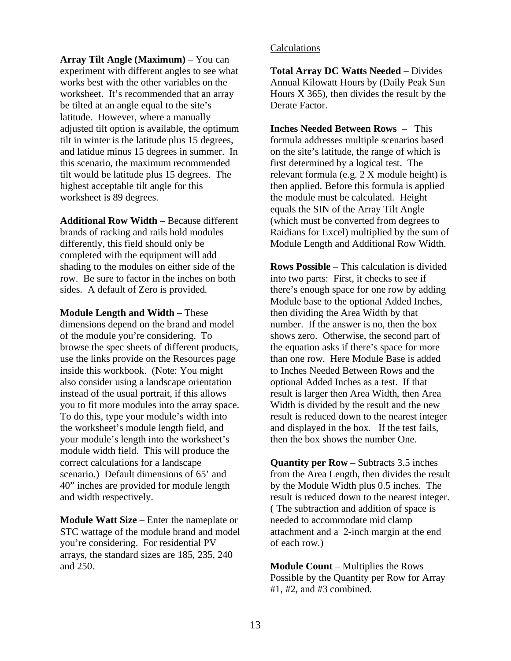**Array Tilt Angle (Maximum)** – You can experiment with different angles to see what works best with the other variables on the worksheet. It's recommended that an array be tilted at an angle equal to the site's latitude. However, where a manually adjusted tilt option is available, the optimum tilt in winter is the latitude plus 15 degrees, and latidue minus 15 degrees in summer. In this scenario, the maximum recommended tilt would be latitude plus 15 degrees. The highest acceptable tilt angle for this worksheet is 89 degrees.

**Additional Row Width** – Because different brands of racking and rails hold modules differently, this field should only be completed with the equipment will add shading to the modules on either side of the row. Be sure to factor in the inches on both sides. A default of Zero is provided.

**Module Length and Width** – These dimensions depend on the brand and model of the module you're considering. To browse the spec sheets of different products, use the links provide on the Resources page inside this workbook. (Note: You might also consider using a landscape orientation instead of the usual portrait, if this allows you to fit more modules into the array space. To do this, type your module's width into the worksheet's module length field, and your module's length into the worksheet's module width field. This will produce the correct calculations for a landscape scenario.) Default dimensions of 65' and 40" inches are provided for module length and width respectively.

**Module Watt Size** – Enter the nameplate or STC wattage of the module brand and model you're considering. For residential PV arrays, the standard sizes are 185, 235, 240 and 250.

#### Calculations

**Total Array DC Watts Needed** – Divides Annual Kilowatt Hours by (Daily Peak Sun Hours  $X$  365), then divides the result by the Derate Factor.

**Inches Needed Between Rows** – This formula addresses multiple scenarios based on the site's latitude, the range of which is first determined by a logical test. The relevant formula (e.g. 2 X module height) is then applied. Before this formula is applied the module must be calculated. Height equals the SIN of the Array Tilt Angle (which must be converted from degrees to Raidians for Excel) multiplied by the sum of Module Length and Additional Row Width.

**Rows Possible** – This calculation is divided into two parts: First, it checks to see if there's enough space for one row by adding Module base to the optional Added Inches, then dividing the Area Width by that number. If the answer is no, then the box shows zero. Otherwise, the second part of the equation asks if there's space for more than one row. Here Module Base is added to Inches Needed Between Rows and the optional Added Inches as a test. If that result is larger then Area Width, then Area Width is divided by the result and the new result is reduced down to the nearest integer and displayed in the box. If the test fails, then the box shows the number One.

**Quantity per Row** – Subtracts 3.5 inches from the Area Length, then divides the result by the Module Width plus 0.5 inches. The result is reduced down to the nearest integer. ( The subtraction and addition of space is needed to accommodate mid clamp attachment and a 2-inch margin at the end of each row.)

**Module Count** – Multiplies the Rows Possible by the Quantity per Row for Array #1, #2, and #3 combined.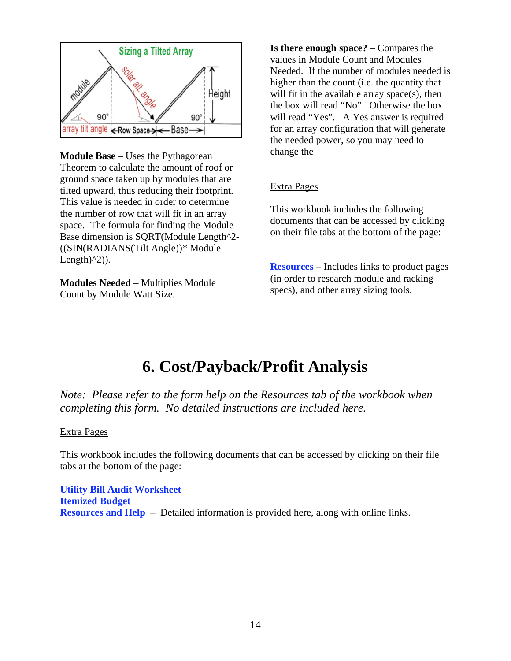

**Module Base** – Uses the Pythagorean Theorem to calculate the amount of roof or ground space taken up by modules that are tilted upward, thus reducing their footprint. This value is needed in order to determine the number of row that will fit in an array space. The formula for finding the Module Base dimension is SQRT(Module Length^2- ((SIN(RADIANS(Tilt Angle))\* Module Length $(2)$ ).

**Modules Needed** – Multiplies Module Count by Module Watt Size.

**Is there enough space?** – Compares the values in Module Count and Modules Needed. If the number of modules needed is higher than the count (i.e. the quantity that will fit in the available array space(s), then the box will read "No". Otherwise the box will read "Yes". A Yes answer is required for an array configuration that will generate the needed power, so you may need to change the

# Extra Pages

This workbook includes the following documents that can be accessed by clicking on their file tabs at the bottom of the page:

**Resources** – Includes links to product pages (in order to research module and racking specs), and other array sizing tools.

# **6. Cost/Payback/Profit Analysis**

*Note: Please refer to the form help on the Resources tab of the workbook when completing this form. No detailed instructions are included here.* 

# Extra Pages

This workbook includes the following documents that can be accessed by clicking on their file tabs at the bottom of the page:

**Utility Bill Audit Worksheet Itemized Budget Resources and Help** – Detailed information is provided here, along with online links.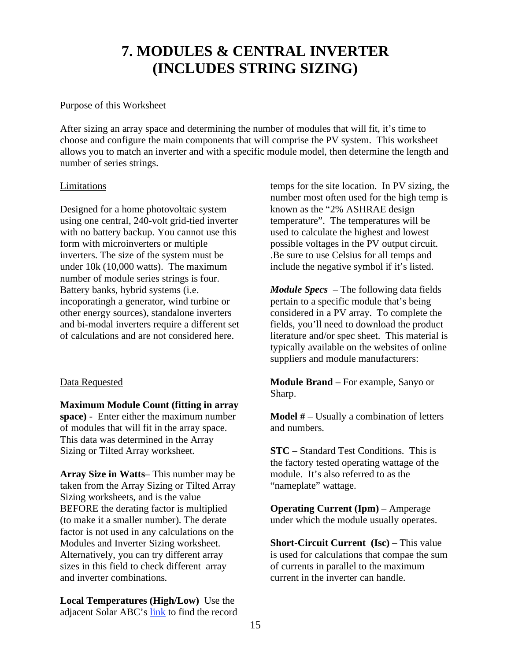# **7. MODULES & CENTRAL INVERTER (INCLUDES STRING SIZING)**

### Purpose of this Worksheet

After sizing an array space and determining the number of modules that will fit, it's time to choose and configure the main components that will comprise the PV system. This worksheet allows you to match an inverter and with a specific module model, then determine the length and number of series strings.

#### Limitations

Designed for a home photovoltaic system using one central, 240-volt grid-tied inverter with no battery backup. You cannot use this form with microinverters or multiple inverters. The size of the system must be under 10k (10,000 watts). The maximum number of module series strings is four. Battery banks, hybrid systems (i.e. incoporatingh a generator, wind turbine or other energy sources), standalone inverters and bi-modal inverters require a different set of calculations and are not considered here.

# Data Requested

**Maximum Module Count (fitting in array space)** - Enter either the maximum number of modules that will fit in the array space. This data was determined in the Array Sizing or Tilted Array worksheet.

**Array Size in Watts**– This number may be taken from the Array Sizing or Tilted Array Sizing worksheets, and is the value BEFORE the derating factor is multiplied (to make it a smaller number). The derate factor is not used in any calculations on the Modules and Inverter Sizing worksheet. Alternatively, you can try different array sizes in this field to check different array and inverter combinations.

**Local Temperatures (High/Low)** Use the adjacent Solar ABC's link to find the record temps for the site location. In PV sizing, the number most often used for the high temp is known as the "2% ASHRAE design temperature". The temperatures will be used to calculate the highest and lowest possible voltages in the PV output circuit. .Be sure to use Celsius for all temps and include the negative symbol if it's listed.

*Module Specs* – The following data fields pertain to a specific module that's being considered in a PV array. To complete the fields, you'll need to download the product literature and/or spec sheet. This material is typically available on the websites of online suppliers and module manufacturers:

**Module Brand** – For example, Sanyo or Sharp.

**Model #** – Usually a combination of letters and numbers.

**STC** – Standard Test Conditions. This is the factory tested operating wattage of the module. It's also referred to as the "nameplate" wattage.

**Operating Current (Ipm)** – Amperage under which the module usually operates.

**Short-Circuit Current (Isc)** – This value is used for calculations that compae the sum of currents in parallel to the maximum current in the inverter can handle.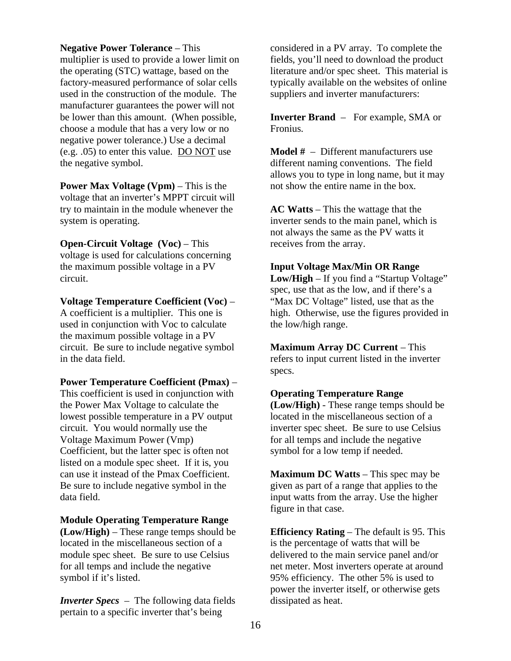**Negative Power Tolerance** – This

multiplier is used to provide a lower limit on the operating (STC) wattage, based on the factory-measured performance of solar cells used in the construction of the module. The manufacturer guarantees the power will not be lower than this amount. (When possible, choose a module that has a very low or no negative power tolerance.) Use a decimal (e.g. .05) to enter this value. DO NOT use the negative symbol.

**Power Max Voltage (Vpm)** – This is the voltage that an inverter's MPPT circuit will try to maintain in the module whenever the system is operating.

**Open-Circuit Voltage (Voc)** – This voltage is used for calculations concerning the maximum possible voltage in a PV circuit.

**Voltage Temperature Coefficient (Voc)** – A coefficient is a multiplier. This one is used in conjunction with Voc to calculate the maximum possible voltage in a PV circuit. Be sure to include negative symbol in the data field.

#### **Power Temperature Coefficient (Pmax)** –

This coefficient is used in conjunction with the Power Max Voltage to calculate the lowest possible temperature in a PV output circuit. You would normally use the Voltage Maximum Power (Vmp) Coefficient, but the latter spec is often not listed on a module spec sheet. If it is, you can use it instead of the Pmax Coefficient. Be sure to include negative symbol in the data field.

#### **Module Operating Temperature Range**

**(Low/High)** – These range temps should be located in the miscellaneous section of a module spec sheet. Be sure to use Celsius for all temps and include the negative symbol if it's listed.

*Inverter Specs* – The following data fields pertain to a specific inverter that's being

considered in a PV array. To complete the fields, you'll need to download the product literature and/or spec sheet. This material is typically available on the websites of online suppliers and inverter manufacturers:

**Inverter Brand** – For example, SMA or Fronius.

**Model #** – Different manufacturers use different naming conventions. The field allows you to type in long name, but it may not show the entire name in the box.

**AC Watts** – This the wattage that the inverter sends to the main panel, which is not always the same as the PV watts it receives from the array.

#### **Input Voltage Max/Min OR Range**

**Low/High** – If you find a "Startup Voltage" spec, use that as the low, and if there's a "Max DC Voltage" listed, use that as the high. Otherwise, use the figures provided in the low/high range.

**Maximum Array DC Current** – This refers to input current listed in the inverter specs.

#### **Operating Temperature Range**

**(Low/High)** - These range temps should be located in the miscellaneous section of a inverter spec sheet. Be sure to use Celsius for all temps and include the negative symbol for a low temp if needed.

**Maximum DC Watts** – This spec may be given as part of a range that applies to the input watts from the array. Use the higher figure in that case.

**Efficiency Rating** – The default is 95. This is the percentage of watts that will be delivered to the main service panel and/or net meter. Most inverters operate at around 95% efficiency. The other 5% is used to power the inverter itself, or otherwise gets dissipated as heat.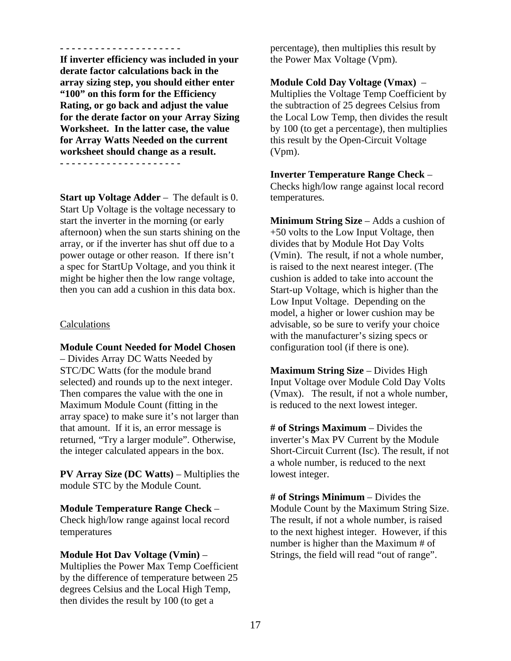**- - - - - - - - - - - - - - - - - - - - - If inverter efficiency was included in your derate factor calculations back in the array sizing step, you should either enter "100" on this form for the Efficiency Rating, or go back and adjust the value for the derate factor on your Array Sizing Worksheet. In the latter case, the value for Array Watts Needed on the current worksheet should change as a result.** 

**- - - - - - - - - - - - - - - - - - - - -** 

**Start up Voltage Adder** – The default is 0. Start Up Voltage is the voltage necessary to start the inverter in the morning (or early afternoon) when the sun starts shining on the array, or if the inverter has shut off due to a power outage or other reason. If there isn't a spec for StartUp Voltage, and you think it might be higher then the low range voltage, then you can add a cushion in this data box.

#### Calculations

**Module Count Needed for Model Chosen**

– Divides Array DC Watts Needed by STC/DC Watts (for the module brand selected) and rounds up to the next integer. Then compares the value with the one in Maximum Module Count (fitting in the array space) to make sure it's not larger than that amount. If it is, an error message is returned, "Try a larger module". Otherwise, the integer calculated appears in the box.

**PV Array Size (DC Watts)** – Multiplies the module STC by the Module Count.

#### **Module Temperature Range Check** –

Check high/low range against local record temperatures

#### **Module Hot Dav Voltage (Vmin)** –

Multiplies the Power Max Temp Coefficient by the difference of temperature between 25 degrees Celsius and the Local High Temp, then divides the result by 100 (to get a

percentage), then multiplies this result by the Power Max Voltage (Vpm).

#### **Module Cold Day Voltage (Vmax)** –

Multiplies the Voltage Temp Coefficient by the subtraction of 25 degrees Celsius from the Local Low Temp, then divides the result by 100 (to get a percentage), then multiplies this result by the Open-Circuit Voltage (Vpm).

**Inverter Temperature Range Check** – Checks high/low range against local record temperatures.

**Minimum String Size** – Adds a cushion of +50 volts to the Low Input Voltage, then divides that by Module Hot Day Volts (Vmin). The result, if not a whole number, is raised to the next nearest integer. (The cushion is added to take into account the Start-up Voltage, which is higher than the Low Input Voltage. Depending on the model, a higher or lower cushion may be advisable, so be sure to verify your choice with the manufacturer's sizing specs or configuration tool (if there is one).

**Maximum String Size** – Divides High Input Voltage over Module Cold Day Volts (Vmax). The result, if not a whole number, is reduced to the next lowest integer.

**# of Strings Maximum** – Divides the inverter's Max PV Current by the Module Short-Circuit Current (Isc). The result, if not a whole number, is reduced to the next lowest integer.

**# of Strings Minimum** – Divides the Module Count by the Maximum String Size. The result, if not a whole number, is raised to the next highest integer. However, if this number is higher than the Maximum # of Strings, the field will read "out of range".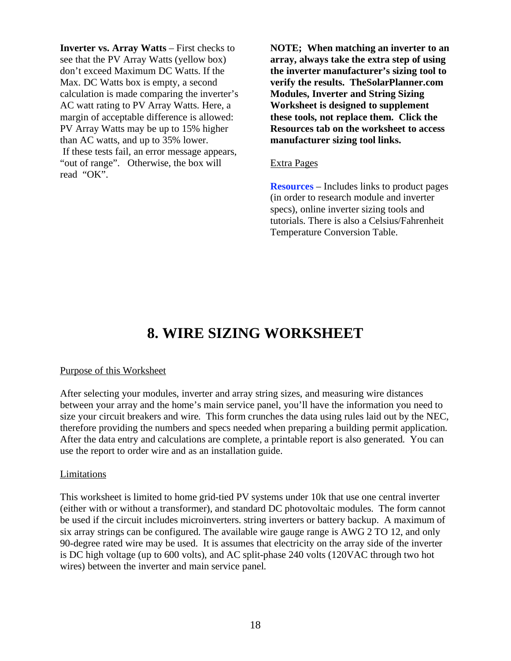**Inverter vs. Array Watts** – First checks to see that the PV Array Watts (yellow box) don't exceed Maximum DC Watts. If the Max. DC Watts box is empty, a second calculation is made comparing the inverter's AC watt rating to PV Array Watts. Here, a margin of acceptable difference is allowed: PV Array Watts may be up to 15% higher than AC watts, and up to 35% lower. If these tests fail, an error message appears, "out of range". Otherwise, the box will read "OK".

**NOTE; When matching an inverter to an array, always take the extra step of using the inverter manufacturer's sizing tool to verify the results. TheSolarPlanner.com Modules, Inverter and String Sizing Worksheet is designed to supplement these tools, not replace them. Click the Resources tab on the worksheet to access manufacturer sizing tool links.** 

#### Extra Pages

**Resources** – Includes links to product pages (in order to research module and inverter specs), online inverter sizing tools and tutorials. There is also a Celsius/Fahrenheit Temperature Conversion Table.

# **8. WIRE SIZING WORKSHEET**

#### Purpose of this Worksheet

After selecting your modules, inverter and array string sizes, and measuring wire distances between your array and the home's main service panel, you'll have the information you need to size your circuit breakers and wire. This form crunches the data using rules laid out by the NEC, therefore providing the numbers and specs needed when preparing a building permit application. After the data entry and calculations are complete, a printable report is also generated. You can use the report to order wire and as an installation guide.

#### Limitations

This worksheet is limited to home grid-tied PV systems under 10k that use one central inverter (either with or without a transformer), and standard DC photovoltaic modules. The form cannot be used if the circuit includes microinverters. string inverters or battery backup. A maximum of six array strings can be configured. The available wire gauge range is AWG 2 TO 12, and only 90-degree rated wire may be used. It is assumes that electricity on the array side of the inverter is DC high voltage (up to 600 volts), and AC split-phase 240 volts (120VAC through two hot wires) between the inverter and main service panel.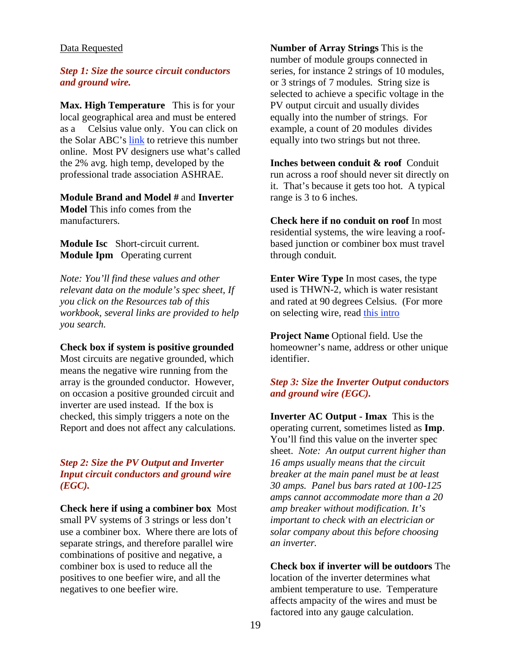#### Data Requested

#### *Step 1: Size the source circuit conductors and ground wire.*

**Max. High Temperature** This is for your local geographical area and must be entered as a Celsius value only. You can click on the Solar ABC's link to retrieve this number online. Most PV designers use what's called the 2% avg. high temp, developed by the professional trade association ASHRAE.

# **Module Brand and Model #** and **Inverter**

**Model** This info comes from the manufacturers.

# **Module Isc** Short-circuit current. **Module Ipm** Operating current

*Note: You'll find these values and other relevant data on the module's spec sheet, If you click on the Resources tab of this workbook, several links are provided to help you search.* 

# **Check box if system is positive grounded**

Most circuits are negative grounded, which means the negative wire running from the array is the grounded conductor. However, on occasion a positive grounded circuit and inverter are used instead. If the box is checked, this simply triggers a note on the Report and does not affect any calculations.

# *Step 2: Size the PV Output and Inverter Input circuit conductors and ground wire (EGC).*

**Check here if using a combiner box** Most small PV systems of 3 strings or less don't use a combiner box. Where there are lots of separate strings, and therefore parallel wire combinations of positive and negative, a combiner box is used to reduce all the positives to one beefier wire, and all the negatives to one beefier wire.

**Number of Array Strings** This is the number of module groups connected in series, for instance 2 strings of 10 modules, or 3 strings of 7 modules. String size is selected to achieve a specific voltage in the PV output circuit and usually divides equally into the number of strings. For example, a count of 20 modules divides equally into two strings but not three.

**Inches between conduit & roof** Conduit run across a roof should never sit directly on it. That's because it gets too hot. A typical range is 3 to 6 inches.

**Check here if no conduit on roof** In most residential systems, the wire leaving a roofbased junction or combiner box must travel through conduit.

**Enter Wire Type** In most cases, the type used is THWN-2, which is water resistant and rated at 90 degrees Celsius. (For more on selecting wire, read this intro

**Project Name Optional field. Use the** homeowner's name, address or other unique identifier.

# *Step 3: Size the Inverter Output conductors and ground wire (EGC).*

**Inverter AC Output - Imax** This is the operating current, sometimes listed as **Imp**. You'll find this value on the inverter spec sheet. *Note: An output current higher than 16 amps usually means that the circuit breaker at the main panel must be at least 30 amps. Panel bus bars rated at 100-125 amps cannot accommodate more than a 20 amp breaker without modification. It's important to check with an electrician or solar company about this before choosing an inverter.*

**Check box if inverter will be outdoors** The location of the inverter determines what ambient temperature to use. Temperature affects ampacity of the wires and must be factored into any gauge calculation.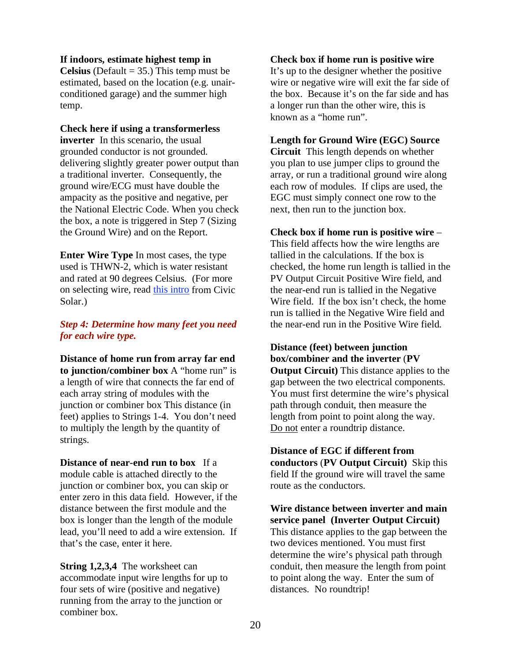#### **If indoors, estimate highest temp in**

**Celsius** (Default  $=$  35.) This temp must be estimated, based on the location (e.g. unairconditioned garage) and the summer high temp.

**Check here if using a transformerless inverter** In this scenario, the usual grounded conductor is not grounded. delivering slightly greater power output than a traditional inverter. Consequently, the ground wire/ECG must have double the ampacity as the positive and negative, per the National Electric Code. When you check the box, a note is triggered in Step 7 (Sizing the Ground Wire) and on the Report.

**Enter Wire Type** In most cases, the type used is THWN-2, which is water resistant and rated at 90 degrees Celsius. (For more on selecting wire, read this intro from Civic Solar.)

# *Step 4: Determine how many feet you need for each wire type.*

**Distance of home run from array far end to junction/combiner box** A "home run" is a length of wire that connects the far end of each array string of modules with the junction or combiner box This distance (in feet) applies to Strings 1-4. You don't need to multiply the length by the quantity of strings.

**Distance of near-end run to box** If a module cable is attached directly to the junction or combiner box, you can skip or enter zero in this data field. However, if the distance between the first module and the box is longer than the length of the module lead, you'll need to add a wire extension. If that's the case, enter it here.

**String 1.2.3.4** The worksheet can accommodate input wire lengths for up to four sets of wire (positive and negative) running from the array to the junction or combiner box.

# **Check box if home run is positive wire**

It's up to the designer whether the positive wire or negative wire will exit the far side of the box. Because it's on the far side and has a longer run than the other wire, this is known as a "home run".

#### **Length for Ground Wire (EGC) Source**

**Circuit** This length depends on whether you plan to use jumper clips to ground the array, or run a traditional ground wire along each row of modules. If clips are used, the EGC must simply connect one row to the next, then run to the junction box.

#### **Check box if home run is positive wire** –

This field affects how the wire lengths are tallied in the calculations. If the box is checked, the home run length is tallied in the PV Output Circuit Positive Wire field, and the near-end run is tallied in the Negative Wire field. If the box isn't check, the home run is tallied in the Negative Wire field and the near-end run in the Positive Wire field.

# **Distance (feet) between junction box/combiner and the inverter** (**PV Output Circuit)** This distance applies to the

gap between the two electrical components. You must first determine the wire's physical path through conduit, then measure the length from point to point along the way. Do not enter a roundtrip distance.

**Distance of EGC if different from conductors** (**PV Output Circuit)** Skip this field If the ground wire will travel the same route as the conductors.

# **Wire distance between inverter and main service panel (Inverter Output Circuit)** This distance applies to the gap between the two devices mentioned. You must first

determine the wire's physical path through conduit, then measure the length from point to point along the way. Enter the sum of distances. No roundtrip!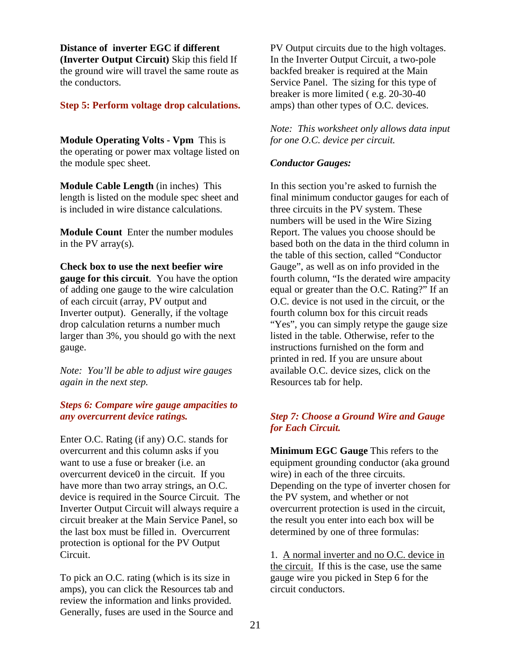**Distance of inverter EGC if different (Inverter Output Circuit)** Skip this field If the ground wire will travel the same route as the conductors.

### **Step 5: Perform voltage drop calculations.**

**Module Operating Volts - Vpm** This is the operating or power max voltage listed on the module spec sheet.

**Module Cable Length** (in inches) This length is listed on the module spec sheet and is included in wire distance calculations.

**Module Count** Enter the number modules in the PV array(s).

**Check box to use the next beefier wire gauge for this circuit**. You have the option of adding one gauge to the wire calculation of each circuit (array, PV output and Inverter output). Generally, if the voltage drop calculation returns a number much larger than 3%, you should go with the next gauge.

*Note: You'll be able to adjust wire gauges again in the next step.* 

# *Steps 6: Compare wire gauge ampacities to any overcurrent device ratings.*

Enter O.C. Rating (if any) O.C. stands for overcurrent and this column asks if you want to use a fuse or breaker (i.e. an overcurrent device0 in the circuit. If you have more than two array strings, an O.C. device is required in the Source Circuit. The Inverter Output Circuit will always require a circuit breaker at the Main Service Panel, so the last box must be filled in. Overcurrent protection is optional for the PV Output Circuit.

To pick an O.C. rating (which is its size in amps), you can click the Resources tab and review the information and links provided. Generally, fuses are used in the Source and PV Output circuits due to the high voltages. In the Inverter Output Circuit, a two-pole backfed breaker is required at the Main Service Panel. The sizing for this type of breaker is more limited ( e.g. 20-30-40 amps) than other types of O.C. devices.

*Note: This worksheet only allows data input for one O.C. device per circuit.* 

#### *Conductor Gauges:*

In this section you're asked to furnish the final minimum conductor gauges for each of three circuits in the PV system. These numbers will be used in the Wire Sizing Report. The values you choose should be based both on the data in the third column in the table of this section, called "Conductor Gauge", as well as on info provided in the fourth column, "Is the derated wire ampacity equal or greater than the O.C. Rating?" If an O.C. device is not used in the circuit, or the fourth column box for this circuit reads "Yes", you can simply retype the gauge size" listed in the table. Otherwise, refer to the instructions furnished on the form and printed in red. If you are unsure about available O.C. device sizes, click on the Resources tab for help.

# *Step 7: Choose a Ground Wire and Gauge for Each Circuit.*

**Minimum EGC Gauge** This refers to the equipment grounding conductor (aka ground wire) in each of the three circuits. Depending on the type of inverter chosen for the PV system, and whether or not overcurrent protection is used in the circuit, the result you enter into each box will be determined by one of three formulas:

1. A normal inverter and no O.C. device in the circuit. If this is the case, use the same gauge wire you picked in Step 6 for the circuit conductors.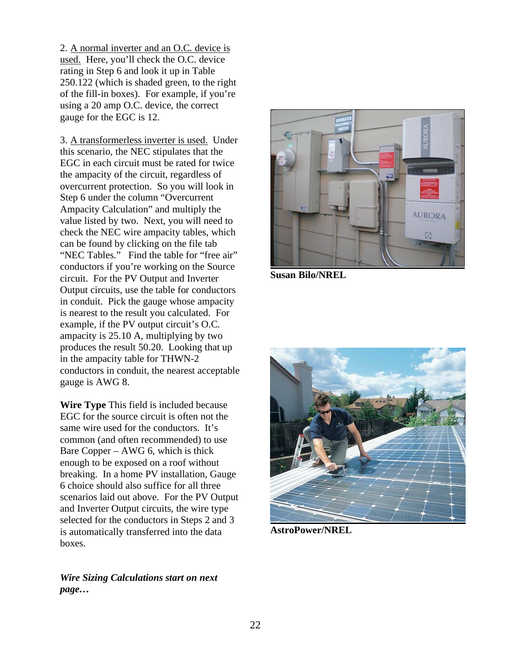2. A normal inverter and an O.C. device is used. Here, you'll check the O.C. device rating in Step 6 and look it up in Table 250.122 (which is shaded green, to the right of the fill-in boxes). For example, if you're using a 20 amp O.C. device, the correct gauge for the EGC is 12.

3. A transformerless inverter is used. Under this scenario, the NEC stipulates that the EGC in each circuit must be rated for twice the ampacity of the circuit, regardless of overcurrent protection. So you will look in Step 6 under the column "Overcurrent Ampacity Calculation" and multiply the value listed by two. Next, you will need to check the NEC wire ampacity tables, which can be found by clicking on the file tab "NEC Tables." Find the table for "free air" conductors if you're working on the Source circuit. For the PV Output and Inverter Output circuits, use the table for conductors in conduit. Pick the gauge whose ampacity is nearest to the result you calculated. For example, if the PV output circuit's O.C. ampacity is 25.10 A, multiplying by two produces the result 50.20. Looking that up in the ampacity table for THWN-2 conductors in conduit, the nearest acceptable gauge is AWG 8.

**Wire Type** This field is included because EGC for the source circuit is often not the same wire used for the conductors. It's common (and often recommended) to use Bare Copper – AWG 6, which is thick enough to be exposed on a roof without breaking. In a home PV installation, Gauge 6 choice should also suffice for all three scenarios laid out above. For the PV Output and Inverter Output circuits, the wire type selected for the conductors in Steps 2 and 3 is automatically transferred into the data boxes.

*Wire Sizing Calculations start on next page…*



**Susan Bilo/NREL** 



**AstroPower/NREL**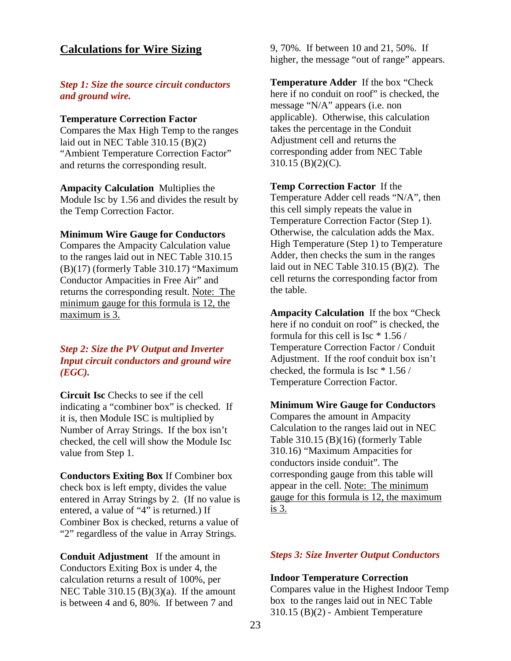# **Calculations for Wire Sizing**

# *Step 1: Size the source circuit conductors and ground wire.*

### **Temperature Correction Factor**

Compares the Max High Temp to the ranges laid out in NEC Table 310.15 (B)(2) "Ambient Temperature Correction Factor" and returns the corresponding result.

**Ampacity Calculation** Multiplies the Module Isc by 1.56 and divides the result by the Temp Correction Factor.

#### **Minimum Wire Gauge for Conductors**

Compares the Ampacity Calculation value to the ranges laid out in NEC Table 310.15 (B)(17) (formerly Table 310.17) "Maximum Conductor Ampacities in Free Air" and returns the corresponding result. Note: The minimum gauge for this formula is 12, the maximum is 3.

# *Step 2: Size the PV Output and Inverter Input circuit conductors and ground wire (EGC).*

**Circuit Isc** Checks to see if the cell indicating a "combiner box" is checked. If it is, then Module ISC is multiplied by Number of Array Strings. If the box isn't checked, the cell will show the Module Isc value from Step 1.

**Conductors Exiting Box** If Combiner box check box is left empty, divides the value entered in Array Strings by 2. (If no value is entered, a value of "4" is returned.) If Combiner Box is checked, returns a value of "2" regardless of the value in Array Strings.

**Conduit Adjustment** If the amount in Conductors Exiting Box is under 4, the calculation returns a result of 100%, per NEC Table  $310.15$  (B)(3)(a). If the amount is between 4 and 6, 80%. If between 7 and

9, 70%. If between 10 and 21, 50%. If higher, the message "out of range" appears.

**Temperature Adder** If the box "Check here if no conduit on roof" is checked, the message "N/A" appears (i.e. non applicable). Otherwise, this calculation takes the percentage in the Conduit Adjustment cell and returns the corresponding adder from NEC Table 310.15 (B)(2)(C).

**Temp Correction Factor** If the Temperature Adder cell reads "N/A", then this cell simply repeats the value in Temperature Correction Factor (Step 1). Otherwise, the calculation adds the Max. High Temperature (Step 1) to Temperature Adder, then checks the sum in the ranges laid out in NEC Table 310.15 (B)(2). The cell returns the corresponding factor from the table.

**Ampacity Calculation** If the box "Check here if no conduit on roof" is checked, the formula for this cell is Isc \* 1.56 / Temperature Correction Factor / Conduit Adjustment. If the roof conduit box isn't checked, the formula is Isc \* 1.56 / Temperature Correction Factor.

#### **Minimum Wire Gauge for Conductors**

Compares the amount in Ampacity Calculation to the ranges laid out in NEC Table 310.15 (B)(16) (formerly Table 310.16) "Maximum Ampacities for conductors inside conduit". The corresponding gauge from this table will appear in the cell. Note: The minimum gauge for this formula is 12, the maximum is 3.

#### *Steps 3: Size Inverter Output Conductors*

**Indoor Temperature Correction**

Compares value in the Highest Indoor Temp box to the ranges laid out in NEC Table 310.15 (B)(2) - Ambient Temperature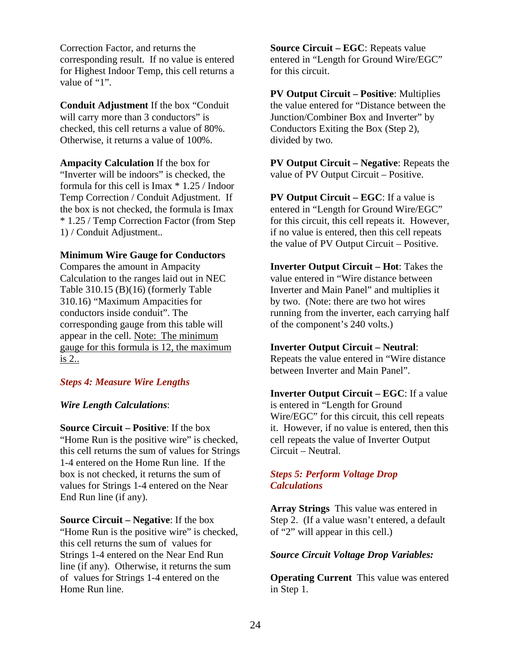Correction Factor, and returns the corresponding result. If no value is entered for Highest Indoor Temp, this cell returns a value of "1".

**Conduit Adjustment** If the box "Conduit will carry more than 3 conductors" is checked, this cell returns a value of 80%. Otherwise, it returns a value of 100%.

**Ampacity Calculation** If the box for "Inverter will be indoors" is checked, the formula for this cell is Imax \* 1.25 / Indoor Temp Correction / Conduit Adjustment. If the box is not checked, the formula is Imax \* 1.25 / Temp Correction Factor (from Step 1) / Conduit Adjustment..

#### **Minimum Wire Gauge for Conductors**

Compares the amount in Ampacity Calculation to the ranges laid out in NEC Table 310.15 (B)(16) (formerly Table 310.16) "Maximum Ampacities for conductors inside conduit". The corresponding gauge from this table will appear in the cell. Note: The minimum gauge for this formula is 12, the maximum is 2..

#### *Steps 4: Measure Wire Lengths*

#### *Wire Length Calculations*:

**Source Circuit – Positive**: If the box "Home Run is the positive wire" is checked, this cell returns the sum of values for Strings 1-4 entered on the Home Run line. If the box is not checked, it returns the sum of values for Strings 1-4 entered on the Near End Run line (if any).

**Source Circuit – Negative**: If the box "Home Run is the positive wire" is checked, this cell returns the sum of values for Strings 1-4 entered on the Near End Run line (if any). Otherwise, it returns the sum of values for Strings 1-4 entered on the Home Run line.

**Source Circuit – EGC**: Repeats value entered in "Length for Ground Wire/EGC" for this circuit.

**PV Output Circuit – Positive**: Multiplies the value entered for "Distance between the Junction/Combiner Box and Inverter" by Conductors Exiting the Box (Step 2), divided by two.

**PV Output Circuit – Negative**: Repeats the value of PV Output Circuit – Positive.

**PV Output Circuit – EGC**: If a value is entered in "Length for Ground Wire/EGC" for this circuit, this cell repeats it. However, if no value is entered, then this cell repeats the value of PV Output Circuit – Positive.

**Inverter Output Circuit – Hot**: Takes the value entered in "Wire distance between Inverter and Main Panel" and multiplies it by two. (Note: there are two hot wires running from the inverter, each carrying half of the component's 240 volts.)

#### **Inverter Output Circuit – Neutral**:

Repeats the value entered in "Wire distance between Inverter and Main Panel".

**Inverter Output Circuit – EGC**: If a value is entered in "Length for Ground Wire/EGC" for this circuit, this cell repeats it. However, if no value is entered, then this cell repeats the value of Inverter Output Circuit – Neutral.

# *Steps 5: Perform Voltage Drop Calculations*

**Array Strings** This value was entered in Step 2. (If a value wasn't entered, a default of "2" will appear in this cell.)

#### *Source Circuit Voltage Drop Variables:*

**Operating Current** This value was entered in Step 1.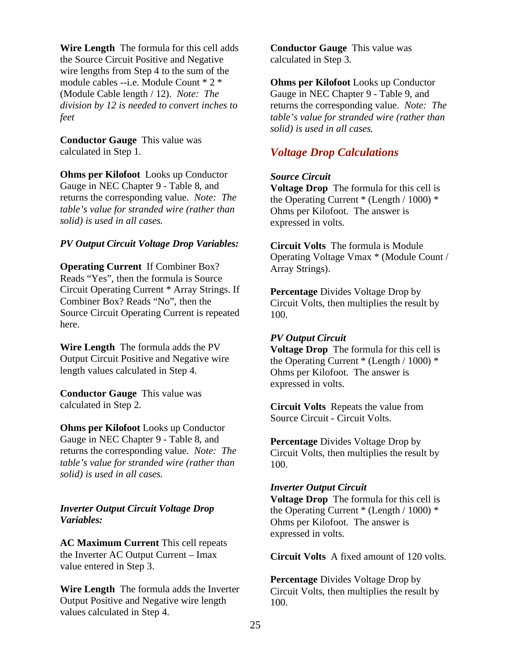**Wire Length** The formula for this cell adds the Source Circuit Positive and Negative wire lengths from Step 4 to the sum of the module cables --i.e. Module Count \* 2 \* (Module Cable length / 12). *Note: The division by 12 is needed to convert inches to feet* 

**Conductor Gauge** This value was calculated in Step 1.

**Ohms per Kilofoot** Looks up Conductor Gauge in NEC Chapter 9 - Table 8, and returns the corresponding value. *Note: The table's value for stranded wire (rather than solid) is used in all cases.* 

# *PV Output Circuit Voltage Drop Variables:*

**Operating Current** If Combiner Box? Reads "Yes", then the formula is Source Circuit Operating Current \* Array Strings. If Combiner Box? Reads "No", then the Source Circuit Operating Current is repeated here.

**Wire Length** The formula adds the PV Output Circuit Positive and Negative wire length values calculated in Step 4.

**Conductor Gauge** This value was calculated in Step 2.

**Ohms per Kilofoot** Looks up Conductor Gauge in NEC Chapter 9 - Table 8, and returns the corresponding value. *Note: The table's value for stranded wire (rather than solid) is used in all cases.*

# *Inverter Output Circuit Voltage Drop Variables:*

**AC Maximum Current** This cell repeats the Inverter AC Output Current – Imax value entered in Step 3.

**Wire Length** The formula adds the Inverter Output Positive and Negative wire length values calculated in Step 4.

**Conductor Gauge** This value was calculated in Step 3.

**Ohms per Kilofoot** Looks up Conductor Gauge in NEC Chapter 9 - Table 9, and returns the corresponding value. *Note: The table's value for stranded wire (rather than solid) is used in all cases.* 

# *Voltage Drop Calculations*

# *Source Circuit*

**Voltage Drop** The formula for this cell is the Operating Current \* (Length / 1000) \* Ohms per Kilofoot. The answer is expressed in volts.

**Circuit Volts** The formula is Module Operating Voltage Vmax \* (Module Count / Array Strings).

**Percentage** Divides Voltage Drop by Circuit Volts, then multiplies the result by 100.

# *PV Output Circuit*

**Voltage Drop** The formula for this cell is the Operating Current \* (Length / 1000) \* Ohms per Kilofoot. The answer is expressed in volts.

**Circuit Volts** Repeats the value from Source Circuit - Circuit Volts.

**Percentage** Divides Voltage Drop by Circuit Volts, then multiplies the result by 100.

# *Inverter Output Circuit*

**Voltage Drop** The formula for this cell is the Operating Current \* (Length / 1000) \* Ohms per Kilofoot. The answer is expressed in volts.

**Circuit Volts** A fixed amount of 120 volts.

**Percentage** Divides Voltage Drop by Circuit Volts, then multiplies the result by 100.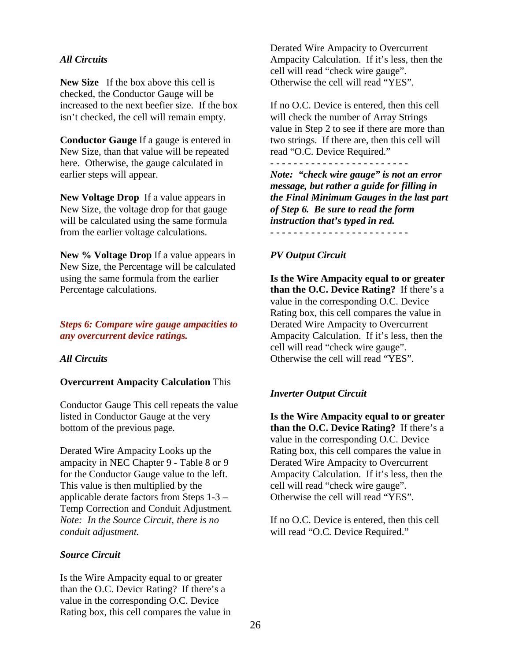# *All Circuits*

**New Size** If the box above this cell is checked, the Conductor Gauge will be increased to the next beefier size. If the box isn't checked, the cell will remain empty.

**Conductor Gauge** If a gauge is entered in New Size, than that value will be repeated here. Otherwise, the gauge calculated in earlier steps will appear.

**New Voltage Drop** If a value appears in New Size, the voltage drop for that gauge will be calculated using the same formula from the earlier voltage calculations.

**New % Voltage Drop** If a value appears in New Size, the Percentage will be calculated using the same formula from the earlier Percentage calculations.

### *Steps 6: Compare wire gauge ampacities to any overcurrent device ratings.*

# *All Circuits*

#### **Overcurrent Ampacity Calculation** This

Conductor Gauge This cell repeats the value listed in Conductor Gauge at the very bottom of the previous page.

Derated Wire Ampacity Looks up the ampacity in NEC Chapter 9 - Table 8 or 9 for the Conductor Gauge value to the left. This value is then multiplied by the applicable derate factors from Steps 1-3 – Temp Correction and Conduit Adjustment. *Note: In the Source Circuit, there is no conduit adjustment.* 

#### *Source Circuit*

Is the Wire Ampacity equal to or greater than the O.C. Devicr Rating? If there's a value in the corresponding O.C. Device Rating box, this cell compares the value in Derated Wire Ampacity to Overcurrent Ampacity Calculation. If it's less, then the cell will read "check wire gauge". Otherwise the cell will read "YES".

If no O.C. Device is entered, then this cell will check the number of Array Strings value in Step 2 to see if there are more than two strings. If there are, then this cell will read "O.C. Device Required."

**- - - - - - - - - - - - - - - - - - - - - - - -**  *Note: "check wire gauge" is not an error message, but rather a guide for filling in the Final Minimum Gauges in the last part of Step 6. Be sure to read the form instruction that's typed in red.*  **- - - - - - - - - - - - - - - - - - - - - - - -** 

# *PV Output Circuit*

**Is the Wire Ampacity equal to or greater than the O.C. Device Rating?** If there's a value in the corresponding O.C. Device Rating box, this cell compares the value in Derated Wire Ampacity to Overcurrent Ampacity Calculation. If it's less, then the cell will read "check wire gauge". Otherwise the cell will read "YES".

#### *Inverter Output Circuit*

**Is the Wire Ampacity equal to or greater than the O.C. Device Rating?** If there's a value in the corresponding O.C. Device Rating box, this cell compares the value in Derated Wire Ampacity to Overcurrent Ampacity Calculation. If it's less, then the cell will read "check wire gauge". Otherwise the cell will read "YES".

If no O.C. Device is entered, then this cell will read "O.C. Device Required."